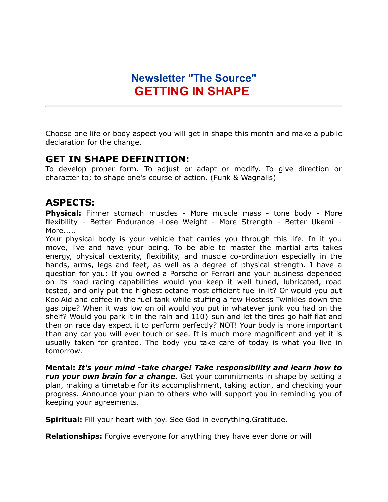## **Newsletter "The Source" GETTING IN SHAPE**

Choose one life or body aspect you will get in shape this month and make a public declaration for the change.

## **GET IN SHAPE DEFINITION:**

To develop proper form. To adjust or adapt or modify. To give direction or character to; to shape one's course of action. (Funk & Wagnalls)

## **ASPECTS:**

**Physical:** Firmer stomach muscles - More muscle mass - tone body - More flexibility - Better Endurance -Lose Weight - More Strength - Better Ukemi - More.....

Your physical body is your vehicle that carries you through this life. In it you move, live and have your being. To be able to master the martial arts takes energy, physical dexterity, flexibility, and muscle co-ordination especially in the hands, arms, legs and feet, as well as a degree of physical strength. I have a question for you: If you owned a Porsche or Ferrari and your business depended on its road racing capabilities would you keep it well tuned, lubricated, road tested, and only put the highest octane most efficient fuel in it? Or would you put KoolAid and coffee in the fuel tank while stuffing a few Hostess Twinkies down the gas pipe? When it was low on oil would you put in whatever junk you had on the shelf? Would you park it in the rain and 110} sun and let the tires go half flat and then on race day expect it to perform perfectly? NOT! Your body is more important than any car you will ever touch or see. It is much more magnificent and yet it is usually taken for granted. The body you take care of today is what you live in tomorrow.

**Mental:** *It's your mind -take charge! Take responsibility and learn how to run your own brain for a change.* Get your commitments in shape by setting a plan, making a timetable for its accomplishment, taking action, and checking your progress. Announce your plan to others who will support you in reminding you of keeping your agreements.

**Spiritual:** Fill your heart with joy. See God in everything.Gratitude.

**Relationships:** Forgive everyone for anything they have ever done or will